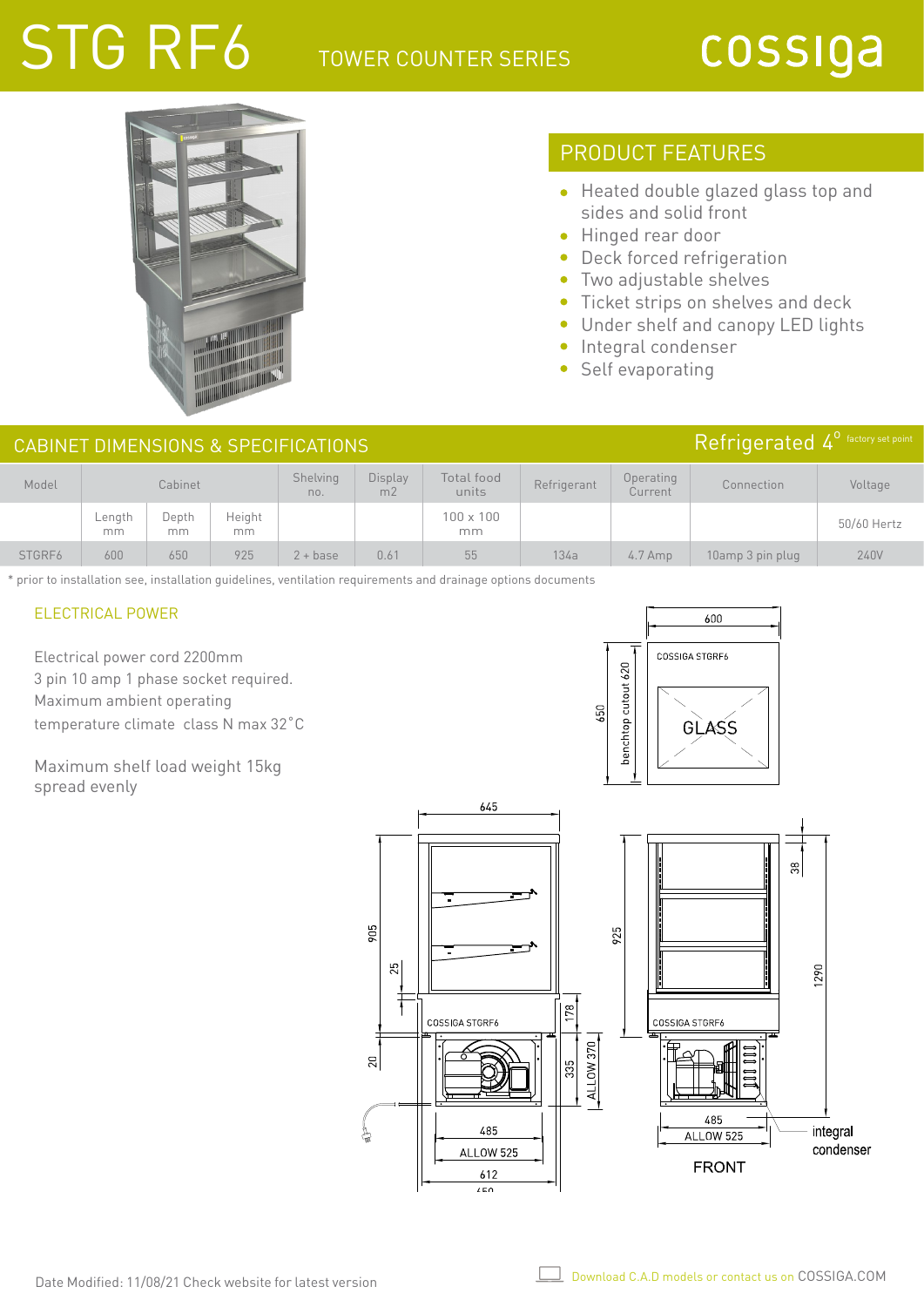# STG RF6

### TOWER COUNTER SERIES

# cossiga



## PRODUCT FEATURES

- Heated double glazed glass top and sides and solid front
- **•** Hinged rear door
- Deck forced refrigeration
- Two adjustable shelves  $\bullet$
- $\bullet$ Ticket strips on shelves and deck
- Under shelf and canopy LED lights
- Integral condenser
- Self evaporating

#### CABINET DIMENSIONS & SPECIFICATIONS

| Model  | Cabinet         |             |              | Shelving<br>no. | <b>Display</b><br>m <sub>2</sub> | Total food<br>units    | Refrigerant | Operating<br>Current | Connection       | Voltage     |
|--------|-----------------|-------------|--------------|-----------------|----------------------------------|------------------------|-------------|----------------------|------------------|-------------|
|        | $L$ ength<br>mm | Depth<br>mm | Height<br>mm |                 |                                  | $100 \times 100$<br>mm |             |                      |                  | 50/60 Hertz |
| STGRF6 | 600             | 650         | 925          | $2 + base$      | 0.61                             | 55                     | 134a        | $4.7$ Amp            | 10amp 3 pin plug | 240V        |

\* prior to installation see, installation guidelines, ventilation requirements and drainage options documents

#### ELECTRICAL POWER

Electrical power cord 2200mm 3 pin 10 amp 1 phase socket required. Maximum ambient operating temperature climate class N max 32˚C

Maximum shelf load weight 15kg spread evenly





### Refrigerated 4<sup>°</sup> factory set point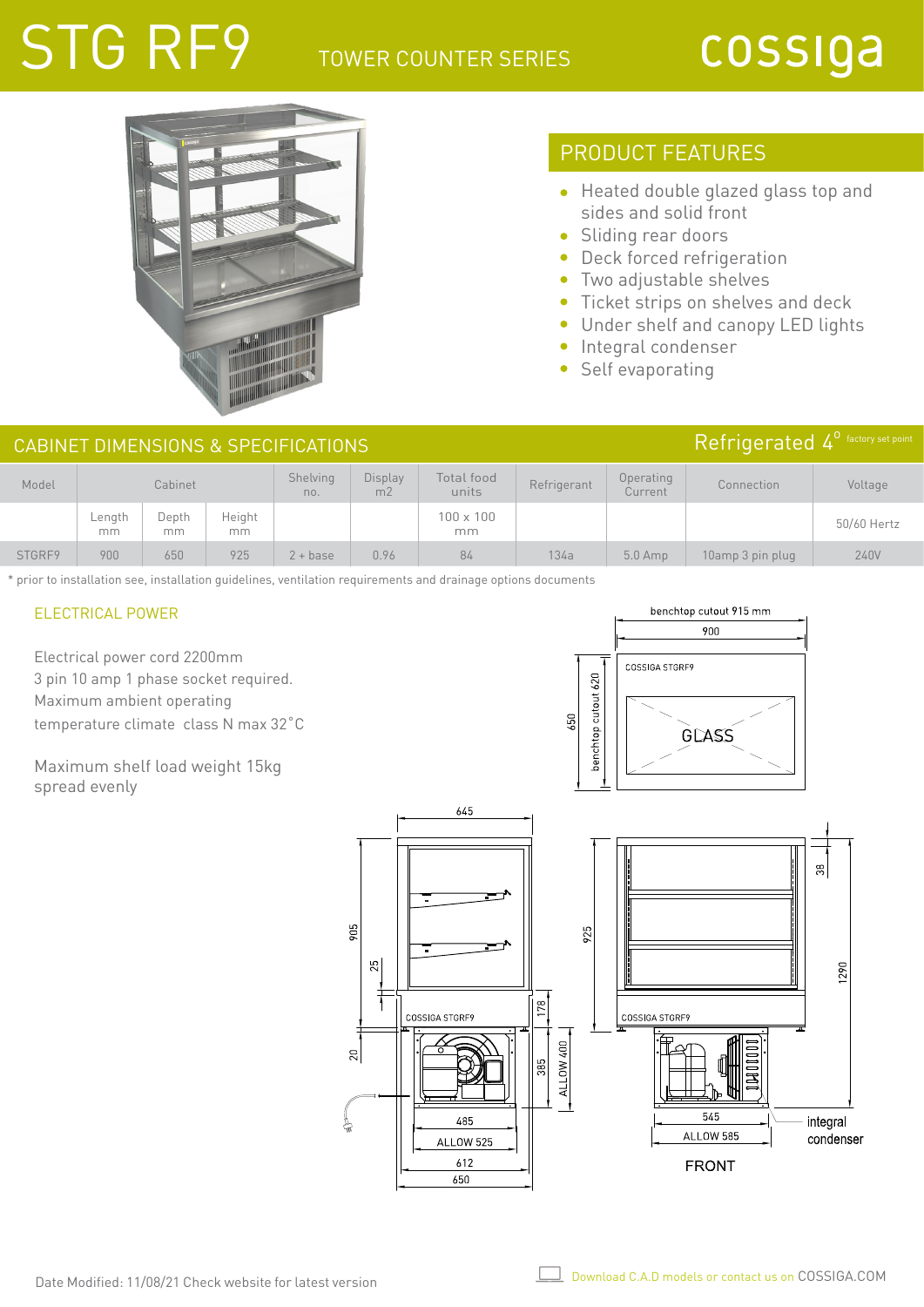## STG RF9 TOWER COUNTER SERIES

# cossiga



## PRODUCT FEATURES

- Heated double glazed glass top and sides and solid front
- Sliding rear doors
- Deck forced refrigeration
- Two adjustable shelves  $\bullet$
- $\bullet$ Ticket strips on shelves and deck
- Under shelf and canopy LED lights
- Integral condenser
- Self evaporating

#### CABINET DIMENSIONS & SPECIFICATIONS

| Model  | Cabinet      |              |              | Shelving<br>no. | Display<br>m <sub>2</sub> | Total food<br>units    | Refrigerant | Operating<br>Current | Connection       | Voltage     |
|--------|--------------|--------------|--------------|-----------------|---------------------------|------------------------|-------------|----------------------|------------------|-------------|
|        | Length<br>mm | Depth<br>mm. | Height<br>mm |                 |                           | $100 \times 100$<br>mm |             |                      |                  | 50/60 Hertz |
| STGRF9 | 900          | 650          | 925          | $2 + base$      | 0.96                      | 84                     | 134a        | $5.0$ Amp            | 10amp 3 pin plug | 240V        |

\* prior to installation see, installation guidelines, ventilation requirements and drainage options documents

#### ELECTRICAL POWER

Electrical power cord 2200mm 3 pin 10 amp 1 phase socket required. Maximum ambient operating temperature climate class N max 32˚C

Maximum shelf load weight 15kg spread evenly





## Refrigerated 4<sup>0</sup> factory set point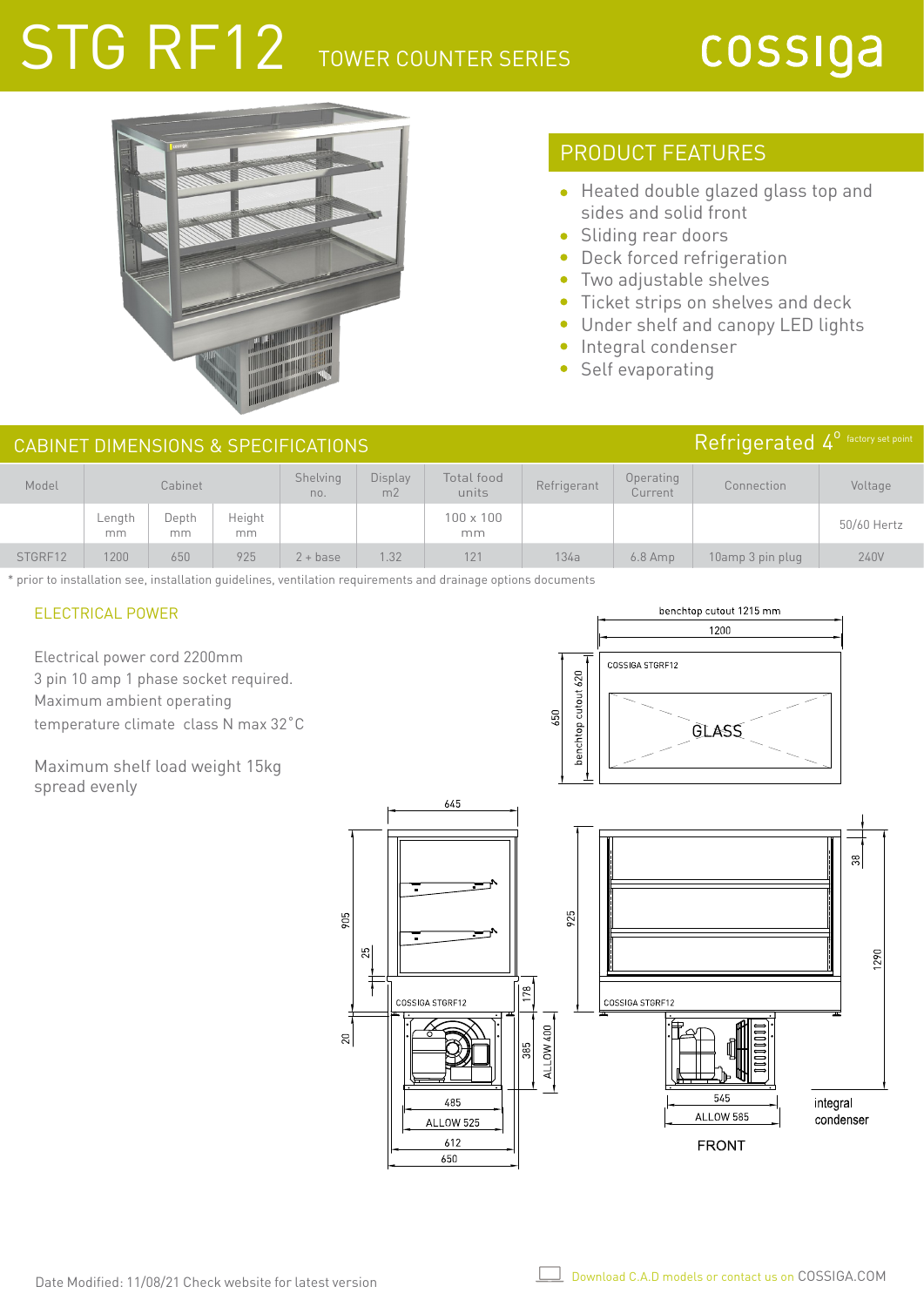# STG RF12 TOWER COUNTER SERIES

# cossiga

Refrigerated 4<sup>°</sup> factory set point



## PRODUCT FEATURES

- Heated double glazed glass top and sides and solid front
- Sliding rear doors
- Deck forced refrigeration
- Two adjustable shelves  $\bullet$
- $\bullet$ Ticket strips on shelves and deck
- $\bullet$ Under shelf and canopy LED lights
- Integral condenser  $\bullet$
- Self evaporating

#### CABINET DIMENSIONS & SPECIFICATIONS

| Model   | Cabinet      |             |               | Shelving<br>no. | <b>Display</b><br>m <sub>2</sub> | Total food<br>units    | Refrigerant | Operating<br>Current | Connection       | Voltage     |
|---------|--------------|-------------|---------------|-----------------|----------------------------------|------------------------|-------------|----------------------|------------------|-------------|
|         | Length<br>mm | Depth<br>mm | Height<br>mm. |                 |                                  | $100 \times 100$<br>mm |             |                      |                  | 50/60 Hertz |
| STGRF12 | 1200         | 650         | 925           | $2 + base$      | 1.32                             | 121                    | 134a        | $6.8$ Amp            | 10amp 3 pin plug | 240V        |

\* prior to installation see, installation guidelines, ventilation requirements and drainage options documents

905

 $\overline{20}$ 

#### ELECTRICAL POWER

Electrical power cord 2200mm 3 pin 10 amp 1 phase socket required. Maximum ambient operating temperature climate class N max 32˚C

Maximum shelf load weight 15kg spread evenly